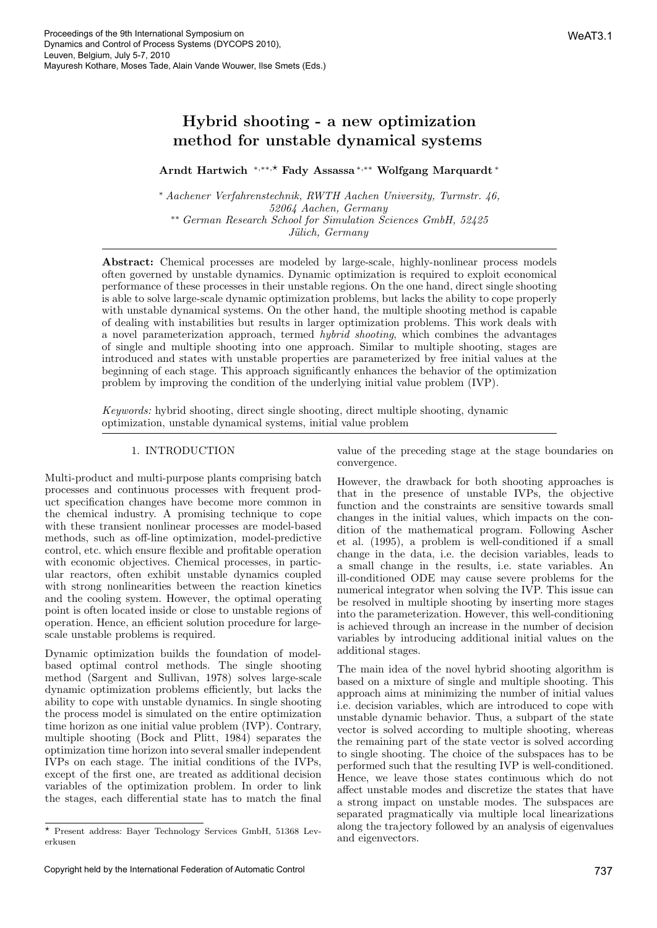# Hybrid shooting - a new optimization method for unstable dynamical systems

# Arndt Hartwich <sup>∗</sup>,∗∗,⋆ Fady Assassa <sup>∗</sup>,∗∗ Wolfgang Marquardt <sup>∗</sup>

<sup>∗</sup> Aachener Verfahrenstechnik, RWTH Aachen University, Turmstr. 46, 52064 Aachen, Germany ∗∗ German Research School for Simulation Sciences GmbH, 52425 Jülich, Germany

Abstract: Chemical processes are modeled by large-scale, highly-nonlinear process models often governed by unstable dynamics. Dynamic optimization is required to exploit economical performance of these processes in their unstable regions. On the one hand, direct single shooting is able to solve large-scale dynamic optimization problems, but lacks the ability to cope properly with unstable dynamical systems. On the other hand, the multiple shooting method is capable of dealing with instabilities but results in larger optimization problems. This work deals with a novel parameterization approach, termed hybrid shooting, which combines the advantages of single and multiple shooting into one approach. Similar to multiple shooting, stages are introduced and states with unstable properties are parameterized by free initial values at the beginning of each stage. This approach significantly enhances the behavior of the optimization problem by improving the condition of the underlying initial value problem (IVP).

Keywords: hybrid shooting, direct single shooting, direct multiple shooting, dynamic optimization, unstable dynamical systems, initial value problem

### 1. INTRODUCTION

Multi-product and multi-purpose plants comprising batch processes and continuous processes with frequent product specification changes have become more common in the chemical industry. A promising technique to cope with these transient nonlinear processes are model-based methods, such as off-line optimization, model-predictive control, etc. which ensure flexible and profitable operation with economic objectives. Chemical processes, in particular reactors, often exhibit unstable dynamics coupled with strong nonlinearities between the reaction kinetics and the cooling system. However, the optimal operating point is often located inside or close to unstable regions of operation. Hence, an efficient solution procedure for largescale unstable problems is required.

Dynamic optimization builds the foundation of modelbased optimal control methods. The single shooting method (Sargent and Sullivan, 1978) solves large-scale dynamic optimization problems efficiently, but lacks the ability to cope with unstable dynamics. In single shooting the process model is simulated on the entire optimization time horizon as one initial value problem (IVP). Contrary, multiple shooting (Bock and Plitt, 1984) separates the optimization time horizon into several smaller independent IVPs on each stage. The initial conditions of the IVPs, except of the first one, are treated as additional decision variables of the optimization problem. In order to link the stages, each differential state has to match the final

value of the preceding stage at the stage boundaries on convergence.

However, the drawback for both shooting approaches is that in the presence of unstable IVPs, the objective function and the constraints are sensitive towards small changes in the initial values, which impacts on the condition of the mathematical program. Following Ascher et al. (1995), a problem is well-conditioned if a small change in the data, i.e. the decision variables, leads to a small change in the results, i.e. state variables. An ill-conditioned ODE may cause severe problems for the numerical integrator when solving the IVP. This issue can be resolved in multiple shooting by inserting more stages into the parameterization. However, this well-conditioning is achieved through an increase in the number of decision variables by introducing additional initial values on the additional stages.

The main idea of the novel hybrid shooting algorithm is based on a mixture of single and multiple shooting. This approach aims at minimizing the number of initial values i.e. decision variables, which are introduced to cope with unstable dynamic behavior. Thus, a subpart of the state vector is solved according to multiple shooting, whereas the remaining part of the state vector is solved according to single shooting. The choice of the subspaces has to be performed such that the resulting IVP is well-conditioned. Hence, we leave those states continuous which do not affect unstable modes and discretize the states that have a strong impact on unstable modes. The subspaces are separated pragmatically via multiple local linearizations along the trajectory followed by an analysis of eigenvalues and eigenvectors.

<sup>⋆</sup> Present address: Bayer Technology Services GmbH, 51368 Leverkusen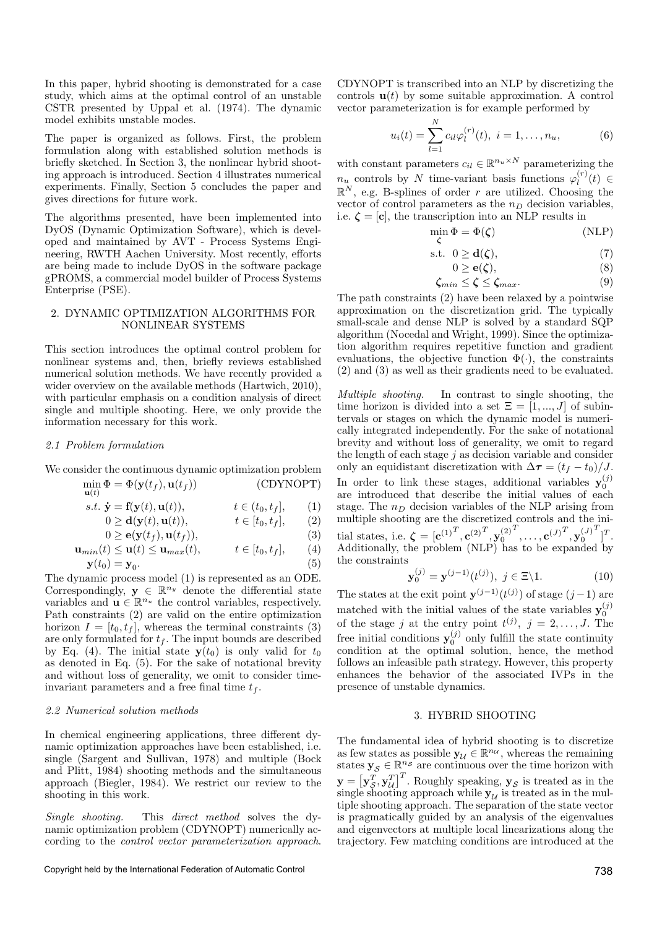In this paper, hybrid shooting is demonstrated for a case study, which aims at the optimal control of an unstable CSTR presented by Uppal et al. (1974). The dynamic model exhibits unstable modes.

The paper is organized as follows. First, the problem formulation along with established solution methods is briefly sketched. In Section 3, the nonlinear hybrid shooting approach is introduced. Section 4 illustrates numerical experiments. Finally, Section 5 concludes the paper and gives directions for future work.

The algorithms presented, have been implemented into DyOS (Dynamic Optimization Software), which is developed and maintained by AVT - Process Systems Engineering, RWTH Aachen University. Most recently, efforts are being made to include DyOS in the software package gPROMS, a commercial model builder of Process Systems Enterprise (PSE).

#### 2. DYNAMIC OPTIMIZATION ALGORITHMS FOR NONLINEAR SYSTEMS

This section introduces the optimal control problem for nonlinear systems and, then, briefly reviews established numerical solution methods. We have recently provided a wider overview on the available methods (Hartwich, 2010), with particular emphasis on a condition analysis of direct single and multiple shooting. Here, we only provide the information necessary for this work.

#### 2.1 Problem formulation

We consider the continuous dynamic optimization problem

$$
\min_{\mathbf{u}(t)} \Phi = \Phi(\mathbf{y}(t_f), \mathbf{u}(t_f))
$$
\n(CDYNOPT)

s.t.  $\dot{\mathbf{y}} = \mathbf{f}(\mathbf{y}(t), \mathbf{u}(t)), \qquad t \in (t_0, t_f],$  (1)

$$
0 \ge \mathbf{d}(\mathbf{y}(t), \mathbf{u}(t)), \qquad t \in [t_0, t_f], \qquad (2)
$$

$$
0 \ge \mathbf{e}(\mathbf{y}(t_f), \mathbf{u}(t_f)),\tag{3}
$$

$$
\mathbf{u}_{min}(t) \le \mathbf{u}(t) \le \mathbf{u}_{max}(t), \qquad t \in [t_0, t_f], \qquad (4)
$$

$$
\mathbf{y}(t_0) = \mathbf{y}_0.
$$
\n(5)

\nunomis process model (1) is represented as an ODE.

The dynamic process model (1) is represented as an ODE. Correspondingly,  $\mathbf{y} \in \mathbb{R}^{n_y}$  denote the differential state variables and  $\mathbf{u} \in \mathbb{R}^{n_u}$  the control variables, respectively. Path constraints (2) are valid on the entire optimization horizon  $I = [t_0, t_f]$ , whereas the terminal constraints (3) are only formulated for  $t_f$ . The input bounds are described by Eq. (4). The initial state  $y(t_0)$  is only valid for  $t_0$ as denoted in Eq. (5). For the sake of notational brevity and without loss of generality, we omit to consider timeinvariant parameters and a free final time  $t_f$ .

#### 2.2 Numerical solution methods

In chemical engineering applications, three different dynamic optimization approaches have been established, i.e. single (Sargent and Sullivan, 1978) and multiple (Bock and Plitt, 1984) shooting methods and the simultaneous approach (Biegler, 1984). We restrict our review to the shooting in this work.

Single shooting. This direct method solves the dynamic optimization problem (CDYNOPT) numerically according to the control vector parameterization approach.

#### Copyright held by the International Federation of Automatic Control 738

CDYNOPT is transcribed into an NLP by discretizing the controls  $\mathbf{u}(t)$  by some suitable approximation. A control vector parameterization is for example performed by

$$
u_i(t) = \sum_{l=1}^{N} c_{il} \varphi_l^{(r)}(t), \ i = 1, \dots, n_u,
$$
 (6)

with constant parameters  $c_{il} \in \mathbb{R}^{n_u \times N}$  parameterizing the  $n_u$  controls by N time-variant basis functions  $\varphi_l^{(r)}(t) \in \mathbb{R}^N$ , e.g. B-splines of order r are utilized. Choosing the vector of control parameters as the  $n_D$  decision variables, i.e.  $\zeta = [\mathbf{c}]$ , the transcription into an NLP results in

$$
\min_{\zeta} \Phi = \Phi(\zeta) \tag{NLP}
$$

$$
\text{s.t. } 0 \ge \mathbf{d}(\zeta),\tag{7}
$$

$$
0 \ge \mathbf{e}(\zeta),\tag{8}
$$

$$
\zeta_{min} \le \zeta \le \zeta_{max}.\tag{9}
$$

The path constraints (2) have been relaxed by a pointwise approximation on the discretization grid. The typically small-scale and dense NLP is solved by a standard SQP algorithm (Nocedal and Wright, 1999). Since the optimization algorithm requires repetitive function and gradient evaluations, the objective function  $\Phi(\cdot)$ , the constraints (2) and (3) as well as their gradients need to be evaluated.

Multiple shooting. In contrast to single shooting, the time horizon is divided into a set  $\Xi = [1, ..., J]$  of subintervals or stages on which the dynamic model is numerically integrated independently. For the sake of notational brevity and without loss of generality, we omit to regard the length of each stage  $j$  as decision variable and consider only an equidistant discretization with  $\Delta \tau = (t_f - t_0)/J$ . In order to link these stages, additional variables  $y_0^{(j)}$ are introduced that describe the initial values of each stage. The  $n_D$  decision variables of the NLP arising from multiple shooting are the discretized controls and the initial states, i.e.  $\boldsymbol{\zeta} = [\mathbf{c}^{(1)^T}, \mathbf{c}^{(2)^T}, \mathbf{y}_0^{(2)}]$  $T^T, \ldots, \mathbf{c}^{(J)}{}^T, \mathbf{y}_0^{(J)}$  $T$ <sup>T</sup>. Additionally, the problem (NLP) has to be expanded by the constraints

$$
\mathbf{y}_0^{(j)} = \mathbf{y}^{(j-1)}(t^{(j)}), \ j \in \Xi \backslash 1. \tag{10}
$$

The states at the exit point  $\mathbf{y}^{(j-1)}(t^{(j)})$  of stage  $(j-1)$  are matched with the initial values of the state variables  $y_0^{(j)}$ of the stage j at the entry point  $t^{(j)}$ ,  $j = 2, \ldots, J$ . The free initial conditions  $y_0^{(j)}$  only fulfill the state continuity condition at the optimal solution, hence, the method follows an infeasible path strategy. However, this property enhances the behavior of the associated IVPs in the presence of unstable dynamics.

#### 3. HYBRID SHOOTING

The fundamental idea of hybrid shooting is to discretize as few states as possible  $\mathbf{y}_{\mathcal{U}} \in \mathbb{R}^{n_{\mathcal{U}}}$ , whereas the remaining states  $\mathbf{y}_{\mathcal{S}} \in \mathbb{R}^{ns}$  are continuous over the time horizon with  $\mathbf{y} = \left[\mathbf{y}_{\mathcal{S}}^T, \mathbf{y}_{\mathcal{U}}^T\right]^T$ . Roughly speaking,  $\mathbf{y}_{\mathcal{S}}$  is treated as in the single shooting approach while  $y_{\mathcal{U}}$  is treated as in the multiple shooting approach. The separation of the state vector is pragmatically guided by an analysis of the eigenvalues and eigenvectors at multiple local linearizations along the trajectory. Few matching conditions are introduced at the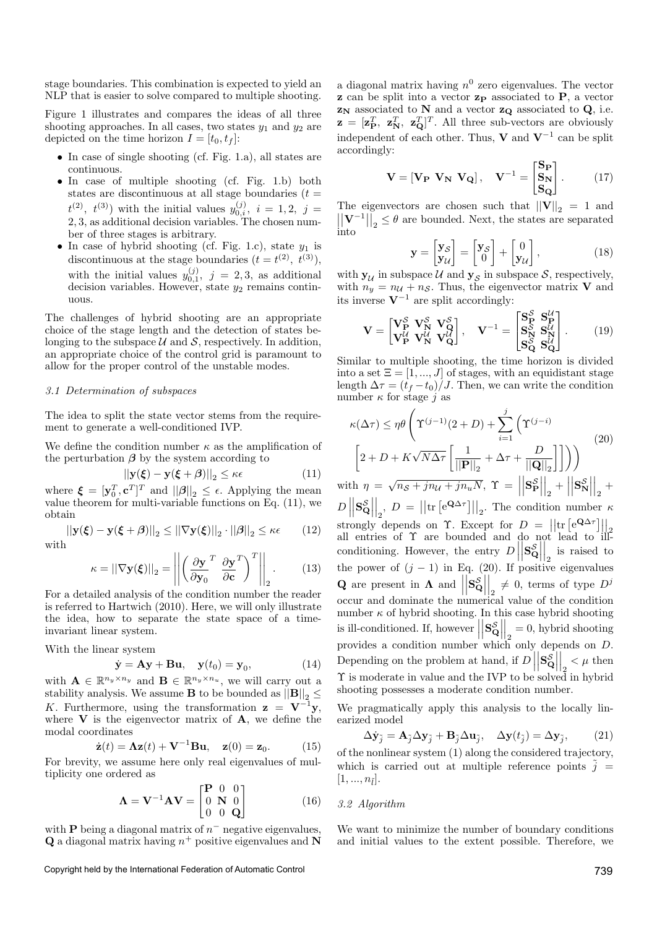stage boundaries. This combination is expected to yield an NLP that is easier to solve compared to multiple shooting.

Figure 1 illustrates and compares the ideas of all three shooting approaches. In all cases, two states  $y_1$  and  $y_2$  are depicted on the time horizon  $I = [t_0, t_f]$ :

- In case of single shooting (cf. Fig. 1.a), all states are continuous.
- In case of multiple shooting (cf. Fig. 1.b) both states are discontinuous at all stage boundaries  $(t =$  $t^{(2)}$ ,  $t^{(3)}$ ) with the initial values  $y_{0,i}^{(j)}$ ,  $i = 1, 2, j =$ 2, 3, as additional decision variables. The chosen number of three stages is arbitrary.
- In case of hybrid shooting (cf. Fig. 1.c), state  $y_1$  is discontinuous at the stage boundaries  $(t = t^{(2)}, t^{(3)})$ , with the initial values  $y_{0,1}^{(j)}$ ,  $j = 2,3$ , as additional decision variables. However, state  $y_2$  remains continuous.

The challenges of hybrid shooting are an appropriate choice of the stage length and the detection of states belonging to the subspace  $\mathcal U$  and  $\mathcal S$ , respectively. In addition, an appropriate choice of the control grid is paramount to allow for the proper control of the unstable modes.

#### 3.1 Determination of subspaces

The idea to split the state vector stems from the requirement to generate a well-conditioned IVP.

We define the condition number  $\kappa$  as the amplification of the perturbation  $\beta$  by the system according to

$$
||\mathbf{y}(\boldsymbol{\xi}) - \mathbf{y}(\boldsymbol{\xi} + \boldsymbol{\beta})||_2 \le \kappa \epsilon \tag{11}
$$

where  $\boldsymbol{\xi} = [\mathbf{y}_0^T, \mathbf{c}^T]^T$  and  $||\boldsymbol{\beta}||_2 \leq \epsilon$ . Applying the mean value theorem for multi-variable functions on Eq. (11), we obtain

$$
\left|\left|\mathbf{y}(\boldsymbol{\xi}) - \mathbf{y}(\boldsymbol{\xi} + \boldsymbol{\beta})\right|\right|_2 \le \left|\left|\nabla \mathbf{y}(\boldsymbol{\xi})\right|\right|_2 \cdot \left|\left|\boldsymbol{\beta}\right|\right|_2 \le \kappa\epsilon \qquad (12)
$$
with

$$
\kappa = ||\nabla \mathbf{y}(\boldsymbol{\xi})||_2 = \left\| \left( \frac{\partial \mathbf{y}}{\partial \mathbf{y}_0}^T \frac{\partial \mathbf{y}}{\partial \mathbf{c}}^T \right)^T \right\|_2.
$$
 (13)

For a detailed analysis of the condition number the reader is referred to Hartwich (2010). Here, we will only illustrate the idea, how to separate the state space of a timeinvariant linear system.

With the linear system

$$
\dot{\mathbf{y}} = \mathbf{A}\mathbf{y} + \mathbf{B}\mathbf{u}, \quad \mathbf{y}(t_0) = \mathbf{y}_0,\tag{14}
$$

with  $\mathbf{A} \in \mathbb{R}^{n_y \times n_y}$  and  $\mathbf{B} \in \mathbb{R}^{n_y \times n_u}$ , we will carry out a stability analysis. We assume **B** to be bounded as  $||\mathbf{B}||_2 \le$ K. Furthermore, using the transformation  $z = V^{-1}y$ , where  $V$  is the eigenvector matrix of  $A$ , we define the modal coordinates

$$
\dot{\mathbf{z}}(t) = \mathbf{\Lambda} \mathbf{z}(t) + \mathbf{V}^{-1} \mathbf{B} \mathbf{u}, \quad \mathbf{z}(0) = \mathbf{z}_0. \quad (15)
$$

For brevity, we assume here only real eigenvalues of multiplicity one ordered as

$$
\mathbf{\Lambda} = \mathbf{V}^{-1} \mathbf{A} \mathbf{V} = \begin{bmatrix} \mathbf{P} & 0 & 0 \\ 0 & \mathbf{N} & 0 \\ 0 & 0 & \mathbf{Q} \end{bmatrix} \tag{16}
$$

with **P** being a diagonal matrix of  $n<sup>-</sup>$  negative eigenvalues, **Q** a diagonal matrix having  $n^+$  positive eigenvalues and N

Copyright held by the International Federation of Automatic Control 739

a diagonal matrix having  $n^0$  zero eigenvalues. The vector  $\mathbf{z}$  can be split into a vector  $\mathbf{z}_{\mathbf{P}}$  associated to  $\mathbf{P}$ , a vector  $\mathbf{z_N}$  associated to  $\mathbf{N}$  and a vector  $\mathbf{z_Q}$  associated to  $\mathbf{Q}$  , i.e.  $\mathbf{z} = [\mathbf{z}_{\mathbf{P}}^T, \ \mathbf{z}_{\mathbf{Q}}^T, \ \mathbf{z}_{\mathbf{Q}}^T]^T$ . All three sub-vectors are obviously independent of each other. Thus, **V** and  $V^{-1}$  can be split accordingly:

$$
\mathbf{V} = [\mathbf{V}_{\mathbf{P}} \ \mathbf{V}_{\mathbf{N}} \ \mathbf{V}_{\mathbf{Q}}], \quad \mathbf{V}^{-1} = \begin{bmatrix} \mathbf{S}_{\mathbf{P}} \\ \mathbf{S}_{\mathbf{N}} \\ \mathbf{S}_{\mathbf{Q}} \end{bmatrix} . \tag{17}
$$

The eigenvectors are chosen such that  $||\mathbf{V}||_2 = 1$  and  $\left|\left|\mathbf{V}^{-1}\right|\right|_2 \leq \theta$  are bounded. Next, the states are separated into

$$
\mathbf{y} = \begin{bmatrix} \mathbf{y}_{\mathcal{S}} \\ \mathbf{y}_{\mathcal{U}} \end{bmatrix} = \begin{bmatrix} \mathbf{y}_{\mathcal{S}} \\ 0 \end{bmatrix} + \begin{bmatrix} 0 \\ \mathbf{y}_{\mathcal{U}} \end{bmatrix},
$$
(18)

with  $y_{\mathcal{U}}$  in subspace  $\mathcal{U}$  and  $y_{\mathcal{S}}$  in subspace  $\mathcal{S}$ , respectively, with  $n_y = n_{\mathcal{U}} + n_{\mathcal{S}}$ . Thus, the eigenvector matrix **V** and its inverse  $V^{-1}$  are split accordingly:

$$
\mathbf{V} = \begin{bmatrix} \mathbf{V}_{\mathbf{P}}^{S} & \mathbf{V}_{\mathbf{N}}^{S} & \mathbf{V}_{\mathbf{Q}}^{S} \\ \mathbf{V}_{\mathbf{P}}^{U} & \mathbf{V}_{\mathbf{N}}^{U} & \mathbf{V}_{\mathbf{Q}}^{U} \end{bmatrix}, \quad \mathbf{V}^{-1} = \begin{bmatrix} \mathbf{S}_{\mathbf{P}}^{S} & \mathbf{S}_{\mathbf{P}}^{U} \\ \mathbf{S}_{\mathbf{N}}^{S} & \mathbf{S}_{\mathbf{N}}^{U} \\ \mathbf{S}_{\mathbf{Q}}^{S} & \mathbf{S}_{\mathbf{Q}}^{U} \end{bmatrix}. \tag{19}
$$

Similar to multiple shooting, the time horizon is divided into a set  $\Xi = [1, ..., J]$  of stages, with an equidistant stage length  $\Delta \tau = (t_f - t_0)/J$ . Then, we can write the condition number  $\kappa$  for stage j as

$$
\kappa(\Delta \tau) \le \eta \theta \left( \Upsilon^{(j-1)}(2+D) + \sum_{i=1}^{j} \left( \Upsilon^{(j-i)} \right) \right)
$$
  

$$
\left[ 2 + D + K\sqrt{N\Delta \tau} \left[ \frac{1}{\|\mathbf{P}\|_2} + \Delta \tau + \frac{D}{\|\mathbf{Q}\|_2} \right] \right] \right)
$$
  

$$
\mathbf{Q} = \mathbf{Q} \left( \mathbf{Q} \mathbf{Q} \right)
$$

with  $\eta = \sqrt{n_S + j n_U + j n_u N}$ ,  $\Upsilon =$  $\begin{array}{c} \begin{array}{c} \begin{array}{c} \end{array}\\ \begin{array}{c} \end{array} \end{array} \end{array}$  $\mathbf{S}_{\mathbf{P}}^{\mathcal{S}}$  $\frac{\mathcal{S}}{\mathbf{P}}\Bigg|$  $\Big|_2$  +  $\Big|$  $\begin{array}{c} \begin{array}{c} \begin{array}{c} \end{array}\\ \begin{array}{c} \end{array} \end{array} \end{array}$  $\mathbf{S}_{\mathrm{N}}^{\mathcal{S}}$  $S_{\mathbf{N}}$  $\Big|_2$  +  $D\!\parallel\!\mathbf{s}^{\mathcal{S}}_{\mathsf{G}}$  $\begin{bmatrix} \vert \vert & \vert \vert \vert \vert_2 \vert \vert \vert_2 \vert \vert \vert_1 \vert \vert_2 \vert \vert_1 \vert \vert_2 \vert \vert_1 \vert_2 \vert \vert_2 \vert \vert_1 \vert_2 \vert \vert_2 \vert \vert_1 \vert_2 \vert \vert_1 \vert_2 \vert_1 \vert_2 \vert_1 \vert_2 \vert_1 \vert_2 \vert_2 \vert_1 \vert_2 \vert_1 \vert_2 \vert_1 \vert_2 \vert_1 \vert_2 \vert_1 \vert_2 \vert_1 \vert_2 \vert_1 \vert_1 \vert_2 \vert_1 \vert_2 \vert_1 \vert_1 \vert_2 \vert_1 \$  $\mathcal{L}^{S}_{\mathbf{Q}}\Big|_2$ ,  $D = ||\text{tr}\left[e^{\mathbf{Q}\Delta \tau}\right]||_2$ . The condition number  $\kappa$ conditioning. However, the entry  $D\Big|$   $\mathbf{s}_\mathsf{c}^{\mathcal{S}}$  $\begin{bmatrix} S \\ \mathbf{Q} \end{bmatrix}$  $\Big|_2$  is raised to the power of  $(j - 1)$  in Eq. (20). If positive eigenvalues **Q** are present in  $\Lambda$  and  $\Big|$  $\begin{array}{c} \begin{array}{c} \begin{array}{c} \end{array}\\ \begin{array}{c} \end{array} \end{array} \end{array}$  $\mathbf{s}_\mathsf{c}^{\mathcal{S}}$  $rac{\mathcal{S}}{\mathbf{Q}}$  $\begin{bmatrix} 2 \neq 0, \text{ terms of type } D^j \end{bmatrix}$ occur and dominate the numerical value of the condition number $\kappa$  of hybrid shooting. In this case hybrid shooting is ill-conditioned. If, however  $\Big|$  $\begin{array}{c} \begin{array}{c} \begin{array}{c} \end{array}\\ \begin{array}{c} \end{array} \end{array} \end{array}$  $S_C^{\mathcal{S}}$  $\begin{bmatrix} S \\ \mathbf{Q} \end{bmatrix}$  $\begin{bmatrix} 2 \\ 2 \end{bmatrix} = 0$ , hybrid shooting provides a condition number which only depends on  $D$ . Depending on the problem at hand, if  $D\vert$  $\begin{array}{c} \begin{array}{c} \begin{array}{c} \end{array}\\ \begin{array}{c} \end{array} \end{array} \end{array}$  $\mathbf{s}_\mathsf{c}^{\mathcal{S}}$  $\begin{bmatrix} S \\ \mathbf{Q} \end{bmatrix}$  $\begin{cases} 2 & \text{then} \\ 2 & \text{then} \end{cases}$ Y is moderate in value and the IVP to be solved in hybrid shooting possesses a moderate condition number.

We pragmatically apply this analysis to the locally linearized model

$$
\Delta \dot{\mathbf{y}}_{\tilde{j}} = \mathbf{A}_{\tilde{j}} \Delta \mathbf{y}_{\tilde{j}} + \mathbf{B}_{\tilde{j}} \Delta \mathbf{u}_{\tilde{j}}, \quad \Delta \mathbf{y}(t_{\tilde{j}}) = \Delta \mathbf{y}_{\tilde{j}}, \quad (21)
$$

of the nonlinear system (1) along the considered trajectory, which is carried out at multiple reference points  $\tilde{i}$  =  $[1, ..., n_{\tilde{l}}].$ 

#### 3.2 Algorithm

We want to minimize the number of boundary conditions and initial values to the extent possible. Therefore, we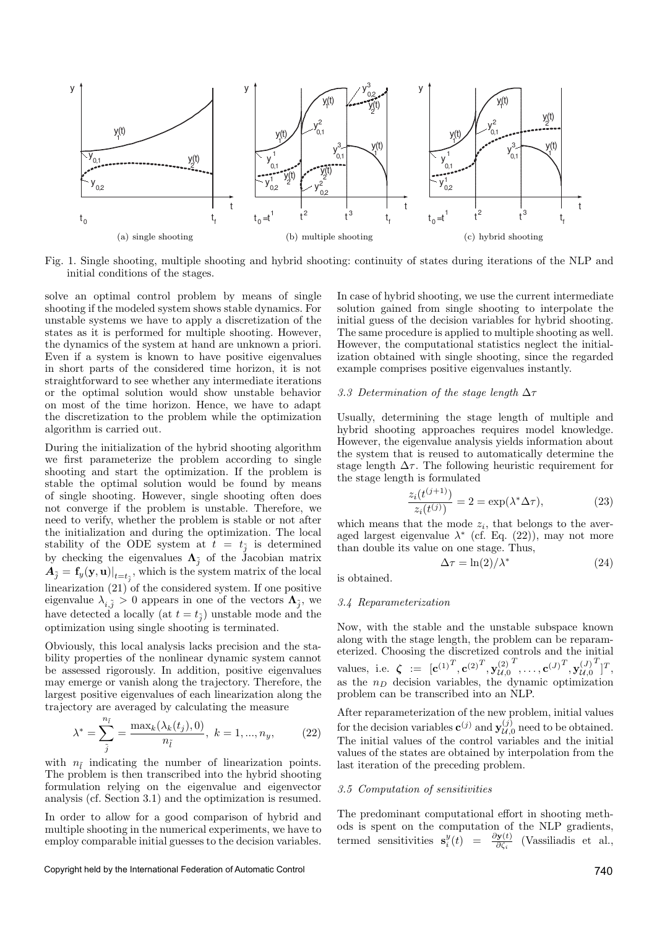

Fig. 1. Single shooting, multiple shooting and hybrid shooting: continuity of states during iterations of the NLP and initial conditions of the stages.

solve an optimal control problem by means of single shooting if the modeled system shows stable dynamics. For unstable systems we have to apply a discretization of the states as it is performed for multiple shooting. However, the dynamics of the system at hand are unknown a priori. Even if a system is known to have positive eigenvalues in short parts of the considered time horizon, it is not straightforward to see whether any intermediate iterations or the optimal solution would show unstable behavior on most of the time horizon. Hence, we have to adapt the discretization to the problem while the optimization algorithm is carried out.

During the initialization of the hybrid shooting algorithm we first parameterize the problem according to single shooting and start the optimization. If the problem is stable the optimal solution would be found by means of single shooting. However, single shooting often does not converge if the problem is unstable. Therefore, we need to verify, whether the problem is stable or not after the initialization and during the optimization. The local stability of the ODE system at  $t = t_{\tilde{j}}$  is determined by checking the eigenvalues  $\Lambda_{\tilde{j}}$  of the Jacobian matrix  $\boldsymbol{A}_{\tilde{j}} = \left. \mathbf{f}_{y}(\mathbf{y}, \mathbf{u}) \right|_{t=t_{\tilde{j}}},$  which is the system matrix of the local linearization (21) of the considered system. If one positive eigenvalue  $\lambda_{i,\tilde{j}} > 0$  appears in one of the vectors  $\Lambda_{\tilde{j}}$ , we have detected a locally (at  $t = t_{\tilde{j}}$ ) unstable mode and the optimization using single shooting is terminated.

Obviously, this local analysis lacks precision and the stability properties of the nonlinear dynamic system cannot be assessed rigorously. In addition, positive eigenvalues may emerge or vanish along the trajectory. Therefore, the largest positive eigenvalues of each linearization along the trajectory are averaged by calculating the measure

$$
\lambda^* = \sum_{\tilde{j}}^{n_{\tilde{l}}} = \frac{\max_k(\lambda_k(t_j), 0)}{n_{\tilde{l}}}, \ k = 1, ..., n_y,
$$
 (22)

with  $n_{\tilde{l}}$  indicating the number of linearization points. The problem is then transcribed into the hybrid shooting formulation relying on the eigenvalue and eigenvector analysis (cf. Section 3.1) and the optimization is resumed.

In order to allow for a good comparison of hybrid and multiple shooting in the numerical experiments, we have to employ comparable initial guesses to the decision variables.

Copyright held by the International Federation of Automatic Control 740

In case of hybrid shooting, we use the current intermediate solution gained from single shooting to interpolate the initial guess of the decision variables for hybrid shooting. The same procedure is applied to multiple shooting as well. However, the computational statistics neglect the initialization obtained with single shooting, since the regarded example comprises positive eigenvalues instantly.

## 3.3 Determination of the stage length  $\Delta \tau$

Usually, determining the stage length of multiple and hybrid shooting approaches requires model knowledge. However, the eigenvalue analysis yields information about the system that is reused to automatically determine the stage length  $\Delta \tau$ . The following heuristic requirement for the stage length is formulated

$$
\frac{z_i(t^{(j+1)})}{z_i(t^{(j)})} = 2 = \exp(\lambda^* \Delta \tau),
$$
\n(23)

which means that the mode  $z_i$ , that belongs to the averaged largest eigenvalue  $\lambda^*$  (cf. Eq. (22)), may not more than double its value on one stage. Thus,

$$
\Delta \tau = \ln(2) / \lambda^* \tag{24}
$$

is obtained.

#### 3.4 Reparameterization

Now, with the stable and the unstable subspace known along with the stage length, the problem can be reparameterized. Choosing the discretized controls and the initial values, i.e.  $\boldsymbol{\zeta} := [\mathbf{c}^{(1)^T}, \mathbf{c}^{(2)^T}, \mathbf{y}_{\mathcal{U},0}^{(2)}]$  $T^T, \ldots, \mathbf{c}^{(J)}{}^T, \mathbf{y}_{\mathcal{U},0}^{(J)}$  $T$ <sup>T</sup>, as the  $n_D$  decision variables, the dynamic optimization problem can be transcribed into an NLP.

After reparameterization of the new problem, initial values for the decision variables  $\mathbf{c}^{(j)}$  and  $\mathbf{y}_{\mathcal{U},0}^{(j)}$  need to be obtained. The initial values of the control variables and the initial values of the states are obtained by interpolation from the last iteration of the preceding problem.

#### 3.5 Computation of sensitivities

The predominant computational effort in shooting methods is spent on the computation of the NLP gradients, termed sensitivities  $\mathbf{s}_i^y(t) = \frac{\partial \mathbf{y}(t)}{\partial \zeta_i}$  $\frac{\partial \mathbf{y}(t)}{\partial \zeta_i}$  (Vassiliadis et al.,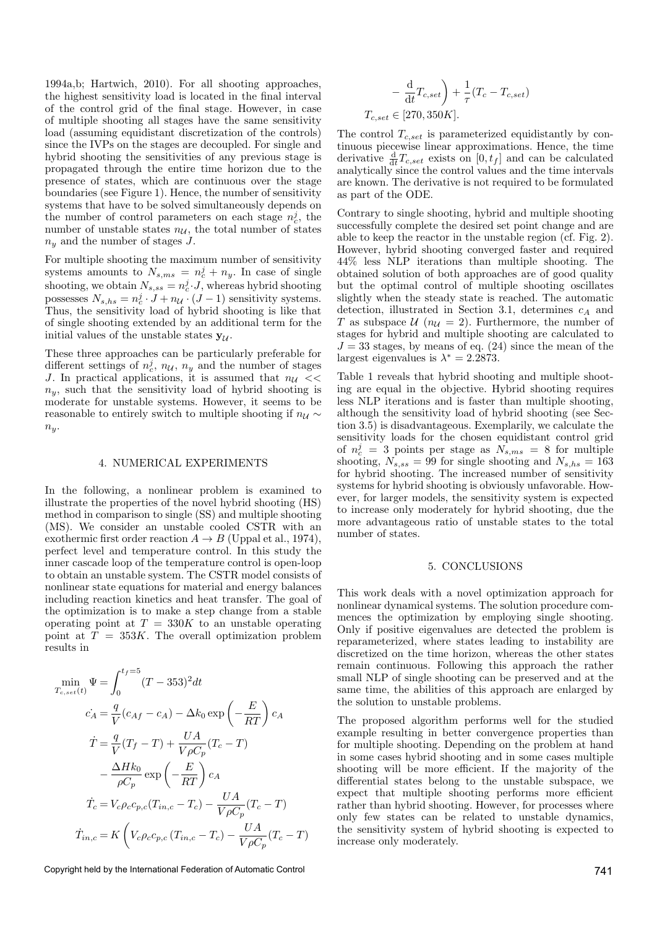1994a,b; Hartwich, 2010). For all shooting approaches, the highest sensitivity load is located in the final interval of the control grid of the final stage. However, in case of multiple shooting all stages have the same sensitivity load (assuming equidistant discretization of the controls) since the IVPs on the stages are decoupled. For single and hybrid shooting the sensitivities of any previous stage is propagated through the entire time horizon due to the presence of states, which are continuous over the stage boundaries (see Figure 1). Hence, the number of sensitivity systems that have to be solved simultaneously depends on the number of control parameters on each stage  $n_c^j$ , the number of unstable states  $n_{\mathcal{U}}$ , the total number of states  $n<sub>y</sub>$  and the number of stages J.

For multiple shooting the maximum number of sensitivity systems amounts to  $N_{s,ms} = n_c^j + n_y$ . In case of single shooting, we obtain  $N_{s,ss} = n_c^j \cdot J$ , whereas hybrid shooting possesses  $N_{s,hs} = n_c^j \cdot J + n_{\mathcal{U}} \cdot (J-1)$  sensitivity systems. Thus, the sensitivity load of hybrid shooting is like that of single shooting extended by an additional term for the initial values of the unstable states  $y_{\mathcal{U}}$ .

These three approaches can be particularly preferable for different settings of  $n_c^j$ ,  $n_u$ ,  $n_y$  and the number of stages J. In practical applications, it is assumed that  $n_{\mathcal{U}} \ll$  $n_y$ , such that the sensitivity load of hybrid shooting is moderate for unstable systems. However, it seems to be reasonable to entirely switch to multiple shooting if  $n_u \sim$  $n_y$ .

#### 4. NUMERICAL EXPERIMENTS

In the following, a nonlinear problem is examined to illustrate the properties of the novel hybrid shooting (HS) method in comparison to single (SS) and multiple shooting (MS). We consider an unstable cooled CSTR with an exothermic first order reaction  $A \rightarrow B$  (Uppal et al., 1974), perfect level and temperature control. In this study the inner cascade loop of the temperature control is open-loop to obtain an unstable system. The CSTR model consists of nonlinear state equations for material and energy balances including reaction kinetics and heat transfer. The goal of the optimization is to make a step change from a stable operating point at  $T = 330K$  to an unstable operating point at  $T = 353K$ . The overall optimization problem results in

$$
\min_{T_{c, set}(t)} \Psi = \int_0^{t_f=5} (T - 353)^2 dt
$$
  
\n
$$
\dot{c}_A = \frac{q}{V} (c_{Af} - c_A) - \Delta k_0 \exp\left(-\frac{E}{RT}\right) c_A
$$
  
\n
$$
\dot{T} = \frac{q}{V} (T_f - T) + \frac{UA}{V \rho C_p} (T_c - T)
$$
  
\n
$$
- \frac{\Delta H k_0}{\rho C_p} \exp\left(-\frac{E}{RT}\right) c_A
$$
  
\n
$$
\dot{T}_c = V_c \rho_c c_{p,c} (T_{in,c} - T_c) - \frac{UA}{V \rho C_p} (T_c - T)
$$
  
\n
$$
\dot{T}_{in,c} = K \left(V_c \rho_c c_{p,c} (T_{in,c} - T_c) - \frac{UA}{V \rho C_p} (T_c - T)\right)
$$

Copyright held by the International Federation of Automatic Control 741

$$
-\frac{d}{dt}T_{c,set}\bigg) + \frac{1}{\tau}(T_c - T_{c,set})
$$
  

$$
T_{c,set} \in [270, 350K].
$$

The control  $T_{c,set}$  is parameterized equidistantly by continuous piecewise linear approximations. Hence, the time derivative  $\frac{d}{dt}T_{c,set}$  exists on  $[0,t_f]$  and can be calculated analytically since the control values and the time intervals are known. The derivative is not required to be formulated as part of the ODE.

Contrary to single shooting, hybrid and multiple shooting successfully complete the desired set point change and are able to keep the reactor in the unstable region (cf. Fig. 2). However, hybrid shooting converged faster and required 44% less NLP iterations than multiple shooting. The obtained solution of both approaches are of good quality but the optimal control of multiple shooting oscillates slightly when the steady state is reached. The automatic detection, illustrated in Section 3.1, determines  $c_A$  and T as subspace  $\mathcal{U}(n_{\mathcal{U}}=2)$ . Furthermore, the number of stages for hybrid and multiple shooting are calculated to  $J = 33$  stages, by means of eq. (24) since the mean of the largest eigenvalues is  $\lambda^* = 2.2873$ .

Table 1 reveals that hybrid shooting and multiple shooting are equal in the objective. Hybrid shooting requires less NLP iterations and is faster than multiple shooting, although the sensitivity load of hybrid shooting (see Section 3.5) is disadvantageous. Exemplarily, we calculate the sensitivity loads for the chosen equidistant control grid of  $n_c^j = 3$  points per stage as  $N_{s,ms} = 8$  for multiple shooting,  $N_{s,ss} = 99$  for single shooting and  $N_{s,hs} = 163$ for hybrid shooting. The increased number of sensitivity systems for hybrid shooting is obviously unfavorable. However, for larger models, the sensitivity system is expected to increase only moderately for hybrid shooting, due the more advantageous ratio of unstable states to the total number of states.

#### 5. CONCLUSIONS

This work deals with a novel optimization approach for nonlinear dynamical systems. The solution procedure commences the optimization by employing single shooting. Only if positive eigenvalues are detected the problem is reparameterized, where states leading to instability are discretized on the time horizon, whereas the other states remain continuous. Following this approach the rather small NLP of single shooting can be preserved and at the same time, the abilities of this approach are enlarged by the solution to unstable problems.

The proposed algorithm performs well for the studied example resulting in better convergence properties than for multiple shooting. Depending on the problem at hand in some cases hybrid shooting and in some cases multiple shooting will be more efficient. If the majority of the differential states belong to the unstable subspace, we expect that multiple shooting performs more efficient rather than hybrid shooting. However, for processes where only few states can be related to unstable dynamics, the sensitivity system of hybrid shooting is expected to increase only moderately.